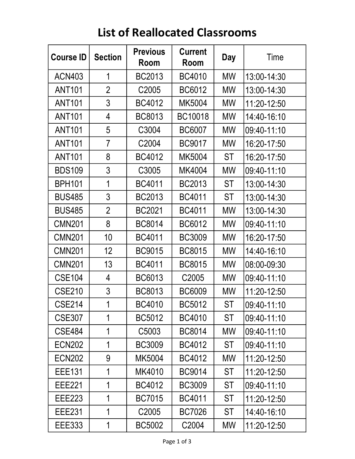| <b>Course ID</b> | <b>Section</b> | <b>Previous</b><br>Room | <b>Current</b><br>Room | Day       | Time        |
|------------------|----------------|-------------------------|------------------------|-----------|-------------|
| <b>ACN403</b>    | 1              | BC2013                  | <b>BC4010</b>          | <b>MW</b> | 13:00-14:30 |
| <b>ANT101</b>    | $\overline{2}$ | C <sub>2005</sub>       | BC6012                 | <b>MW</b> | 13:00-14:30 |
| <b>ANT101</b>    | 3              | BC4012                  | MK5004                 | <b>MW</b> | 11:20-12:50 |
| <b>ANT101</b>    | 4              | BC8013                  | BC10018                | <b>MW</b> | 14:40-16:10 |
| <b>ANT101</b>    | 5              | C3004                   | BC6007                 | <b>MW</b> | 09:40-11:10 |
| <b>ANT101</b>    | 7              | C <sub>2004</sub>       | BC9017                 | MW        | 16:20-17:50 |
| <b>ANT101</b>    | 8              | BC4012                  | MK5004                 | <b>ST</b> | 16:20-17:50 |
| <b>BDS109</b>    | 3              | C3005                   | MK4004                 | <b>MW</b> | 09:40-11:10 |
| <b>BPH101</b>    | 1              | BC4011                  | BC2013                 | <b>ST</b> | 13:00-14:30 |
| <b>BUS485</b>    | 3              | <b>BC2013</b>           | BC4011                 | <b>ST</b> | 13:00-14:30 |
| <b>BUS485</b>    | $\overline{2}$ | <b>BC2021</b>           | BC4011                 | <b>MW</b> | 13:00-14:30 |
| <b>CMN201</b>    | 8              | <b>BC8014</b>           | BC6012                 | <b>MW</b> | 09:40-11:10 |
| <b>CMN201</b>    | 10             | BC4011                  | BC3009                 | <b>MW</b> | 16:20-17:50 |
| <b>CMN201</b>    | 12             | <b>BC9015</b>           | BC8015                 | MW        | 14:40-16:10 |
| <b>CMN201</b>    | 13             | BC4011                  | BC8015                 | <b>MW</b> | 08:00-09:30 |
| <b>CSE104</b>    | 4              | BC6013                  | C <sub>2005</sub>      | MW        | 09:40-11:10 |
| <b>CSE210</b>    | 3              | BC8013                  | BC6009                 | MW        | 11:20-12:50 |
| CSE214           | 1              | BC4010                  | BC5012                 | ST        | 09:40-11:10 |
| <b>CSE307</b>    | 1              | BC5012                  | <b>BC4010</b>          | ST        | 09:40-11:10 |
| <b>CSE484</b>    | 1              | C5003                   | BC8014                 | MW        | 09:40-11:10 |
| <b>ECN202</b>    | 1              | <b>BC3009</b>           | BC4012                 | ST        | 09:40-11:10 |
| <b>ECN202</b>    | 9              | MK5004                  | BC4012                 | MW        | 11:20-12:50 |
| <b>EEE131</b>    | 1              | MK4010                  | <b>BC9014</b>          | ST        | 11:20-12:50 |
| <b>EEE221</b>    | 1              | BC4012                  | BC3009                 | ST        | 09:40-11:10 |
| <b>EEE223</b>    | 1              | <b>BC7015</b>           | BC4011                 | ST        | 11:20-12:50 |
| <b>EEE231</b>    | 1              | C <sub>2005</sub>       | <b>BC7026</b>          | ST        | 14:40-16:10 |
| <b>EEE333</b>    | 1              | <b>BC5002</b>           | C <sub>2004</sub>      | MW        | 11:20-12:50 |

## List of Reallocated Classrooms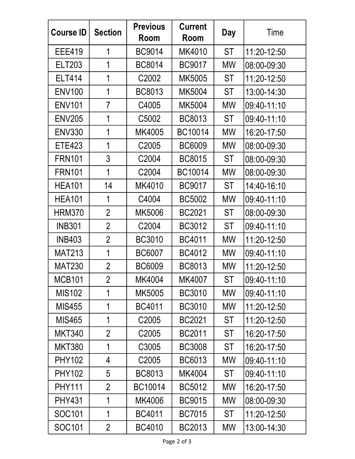| <b>Course ID</b> | <b>Section</b> | <b>Previous</b><br>Room | <b>Current</b><br>Room | <b>Day</b> | Time        |
|------------------|----------------|-------------------------|------------------------|------------|-------------|
| <b>EEE419</b>    | 1              | <b>BC9014</b>           | MK4010                 | <b>ST</b>  | 11:20-12:50 |
| <b>ELT203</b>    | 1              | <b>BC8014</b>           | BC9017                 | MW         | 08:00-09:30 |
| <b>ELT414</b>    | 1              | C <sub>2002</sub>       | MK5005                 | <b>ST</b>  | 11:20-12:50 |
| <b>ENV100</b>    | $\mathbf 1$    | BC8013                  | MK5004                 | ST         | 13:00-14:30 |
| <b>ENV101</b>    | $\overline{7}$ | C4005                   | MK5004                 | <b>MW</b>  | 09:40-11:10 |
| <b>ENV205</b>    | 1              | C5002                   | BC8013                 | <b>ST</b>  | 09:40-11:10 |
| <b>ENV330</b>    | 1              | MK4005                  | BC10014                | <b>MW</b>  | 16:20-17:50 |
| <b>ETE423</b>    | 1              | C <sub>2005</sub>       | <b>BC6009</b>          | <b>MW</b>  | 08:00-09:30 |
| <b>FRN101</b>    | 3              | C <sub>2004</sub>       | <b>BC8015</b>          | <b>ST</b>  | 08:00-09:30 |
| <b>FRN101</b>    | 1              | C <sub>2004</sub>       | BC10014                | MW         | 08:00-09:30 |
| <b>HEA101</b>    | 14             | MK4010                  | BC9017                 | <b>ST</b>  | 14:40-16:10 |
| <b>HEA101</b>    | 1              | C4004                   | <b>BC5002</b>          | <b>MW</b>  | 09:40-11:10 |
| <b>HRM370</b>    | $\overline{2}$ | MK5006                  | BC2021                 | <b>ST</b>  | 08:00-09:30 |
| <b>INB301</b>    | $\overline{2}$ | C <sub>2004</sub>       | BC3012                 | <b>ST</b>  | 09:40-11:10 |
| <b>INB403</b>    | $\overline{2}$ | <b>BC3010</b>           | BC4011                 | <b>MW</b>  | 11:20-12:50 |
| <b>MAT213</b>    | 1              | <b>BC6007</b>           | BC4012                 | <b>MW</b>  | 09:40-11:10 |
| <b>MAT230</b>    | $\overline{2}$ | <b>BC6009</b>           | BC8013                 | МW         | 11:20-12:50 |
| <b>MCB101</b>    | $\overline{2}$ | MK4004                  | MK4007                 | ST         | 09:40-11:10 |
| <b>MIS102</b>    | 1              | MK5005                  | <b>BC3010</b>          | <b>MW</b>  | 09:40-11:10 |
| <b>MIS455</b>    | 1              | BC4011                  | BC3010                 | <b>MW</b>  | 11:20-12:50 |
| MIS465           | 1              | C <sub>2005</sub>       | BC2021                 | <b>ST</b>  | 11:20-12:50 |
| <b>MKT340</b>    | $\overline{2}$ | C <sub>2005</sub>       | <b>BC2011</b>          | ST         | 16:20-17:50 |
| <b>MKT380</b>    | 1              | C3005                   | <b>BC3008</b>          | ST         | 16:20-17:50 |
| <b>PHY102</b>    | 4              | C <sub>2005</sub>       | BC6013                 | MW         | 09:40-11:10 |
| <b>PHY102</b>    | 5              | BC8013                  | MK4004                 | ST         | 09:40-11:10 |
| <b>PHY111</b>    | $\overline{2}$ | BC10014                 | BC5012                 | <b>MW</b>  | 16:20-17:50 |
| <b>PHY431</b>    | 1              | MK4006                  | <b>BC9015</b>          | <b>MW</b>  | 08:00-09:30 |
| SOC101           | 1              | BC4011                  | <b>BC7015</b>          | ST         | 11:20-12:50 |
| SOC101           | $\overline{2}$ | <b>BC4010</b>           | BC2013                 | MW         | 13:00-14:30 |